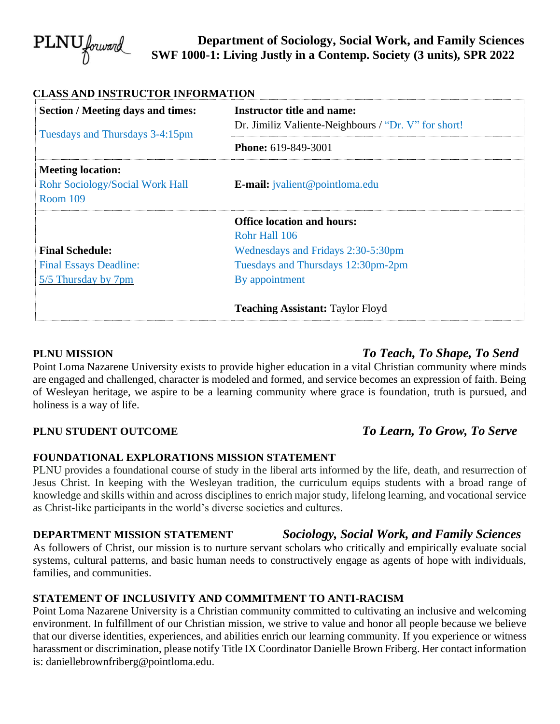

**Department of Sociology, Social Work, and Family Sciences SWF 1000-1: Living Justly in a Contemp. Society (3 units), SPR 2022**

| <b>Section / Meeting days and times:</b>                  | <b>Instructor title and name:</b>                    |
|-----------------------------------------------------------|------------------------------------------------------|
| Tuesdays and Thursdays 3-4:15pm                           | Dr. Jimiliz Valiente-Neighbours / "Dr. V" for short! |
|                                                           | <b>Phone: 619-849-3001</b>                           |
| <b>Meeting location:</b>                                  |                                                      |
| <b>Rohr Sociology/Social Work Hall</b><br><b>Room 109</b> | <b>E-mail:</b> jvalient@pointloma.edu                |
|                                                           | <b>Office location and hours:</b>                    |
|                                                           | Rohr Hall 106                                        |
| <b>Final Schedule:</b>                                    | Wednesdays and Fridays 2:30-5:30pm                   |
| <b>Final Essays Deadline:</b>                             | Tuesdays and Thursdays 12:30pm-2pm                   |
| 5/5 Thursday by 7pm                                       | By appointment                                       |
|                                                           | <b>Teaching Assistant: Taylor Floyd</b>              |

# **PLNU MISSION** *To Teach, To Shape, To Send*

Point Loma Nazarene University exists to provide higher education in a vital Christian community where minds are engaged and challenged, character is modeled and formed, and service becomes an expression of faith. Being of Wesleyan heritage, we aspire to be a learning community where grace is foundation, truth is pursued, and holiness is a way of life.

# **PLNU STUDENT OUTCOME** *To Learn, To Grow, To Serve*

#### **FOUNDATIONAL EXPLORATIONS MISSION STATEMENT**

PLNU provides a foundational course of study in the liberal arts informed by the life, death, and resurrection of Jesus Christ. In keeping with the Wesleyan tradition, the curriculum equips students with a broad range of knowledge and skills within and across disciplines to enrich major study, lifelong learning, and vocational service as Christ-like participants in the world's diverse societies and cultures.

# **DEPARTMENT MISSION STATEMENT** *Sociology, Social Work, and Family Sciences*

As followers of Christ, our mission is to nurture servant scholars who critically and empirically evaluate social systems, cultural patterns, and basic human needs to constructively engage as agents of hope with individuals, families, and communities.

## **STATEMENT OF INCLUSIVITY AND COMMITMENT TO ANTI-RACISM**

Point Loma Nazarene University is a Christian community committed to cultivating an inclusive and welcoming environment. In fulfillment of our Christian mission, we strive to value and honor all people because we believe that our diverse identities, experiences, and abilities enrich our learning community. If you experience or witness harassment or discrimination, please notify Title IX Coordinator Danielle Brown Friberg. Her contact information is: daniellebrownfriberg@pointloma.edu.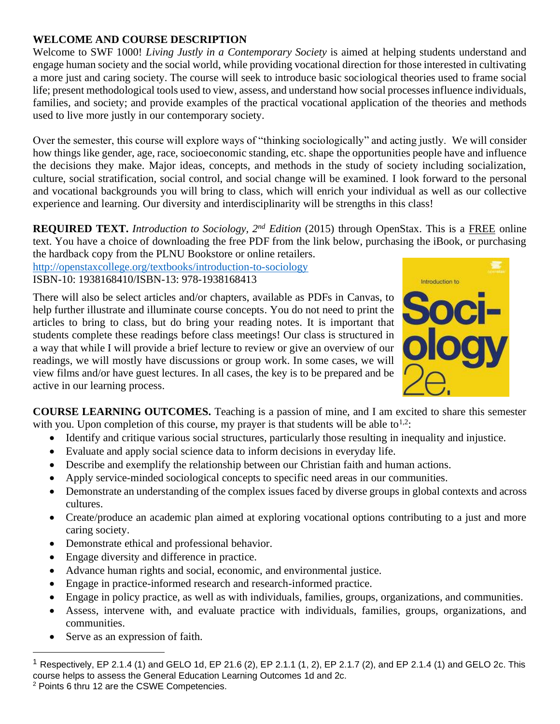## **WELCOME AND COURSE DESCRIPTION**

Welcome to SWF 1000! *Living Justly in a Contemporary Society* is aimed at helping students understand and engage human society and the social world, while providing vocational direction for those interested in cultivating a more just and caring society. The course will seek to introduce basic sociological theories used to frame social life; present methodological tools used to view, assess, and understand how social processes influence individuals, families, and society; and provide examples of the practical vocational application of the theories and methods used to live more justly in our contemporary society.

Over the semester, this course will explore ways of "thinking sociologically" and acting justly. We will consider how things like gender, age, race, socioeconomic standing, etc. shape the opportunities people have and influence the decisions they make. Major ideas, concepts, and methods in the study of society including socialization, culture, social stratification, social control, and social change will be examined. I look forward to the personal and vocational backgrounds you will bring to class, which will enrich your individual as well as our collective experience and learning. Our diversity and interdisciplinarity will be strengths in this class!

**REQUIRED TEXT.** *Introduction to Sociology, 2nd Edition* (2015) through OpenStax. This is a FREE online text. You have a choice of downloading the free PDF from the link below, purchasing the iBook, or purchasing the hardback copy from the PLNU Bookstore or online retailers.

<http://openstaxcollege.org/textbooks/introduction-to-sociology>

ISBN-10: 1938168410/ISBN-13: 978-1938168413

There will also be select articles and/or chapters, available as PDFs in Canvas, to help further illustrate and illuminate course concepts. You do not need to print the articles to bring to class, but do bring your reading notes. It is important that students complete these readings before class meetings! Our class is structured in a way that while I will provide a brief lecture to review or give an overview of our readings, we will mostly have discussions or group work. In some cases, we will view films and/or have guest lectures. In all cases, the key is to be prepared and be active in our learning process.



**COURSE LEARNING OUTCOMES.** Teaching is a passion of mine, and I am excited to share this semester with you. Upon completion of this course, my prayer is that students will be able to<sup>1,2</sup>:

- Identify and critique various social structures, particularly those resulting in inequality and injustice.
- Evaluate and apply social science data to inform decisions in everyday life.
- Describe and exemplify the relationship between our Christian faith and human actions.
- Apply service-minded sociological concepts to specific need areas in our communities.
- Demonstrate an understanding of the complex issues faced by diverse groups in global contexts and across cultures.
- Create/produce an academic plan aimed at exploring vocational options contributing to a just and more caring society.
- Demonstrate ethical and professional behavior.
- Engage diversity and difference in practice.
- Advance human rights and social, economic, and environmental justice.
- Engage in practice-informed research and research-informed practice.
- Engage in policy practice, as well as with individuals, families, groups, organizations, and communities.
- Assess, intervene with, and evaluate practice with individuals, families, groups, organizations, and communities.
- Serve as an expression of faith.

<sup>&</sup>lt;sup>1</sup> Respectively, EP 2.1.4 (1) and GELO 1d, EP 21.6 (2), EP 2.1.1 (1, 2), EP 2.1.7 (2), and EP 2.1.4 (1) and GELO 2c. This course helps to assess the General Education Learning Outcomes 1d and 2c. <sup>2</sup> Points 6 thru 12 are the CSWE Competencies.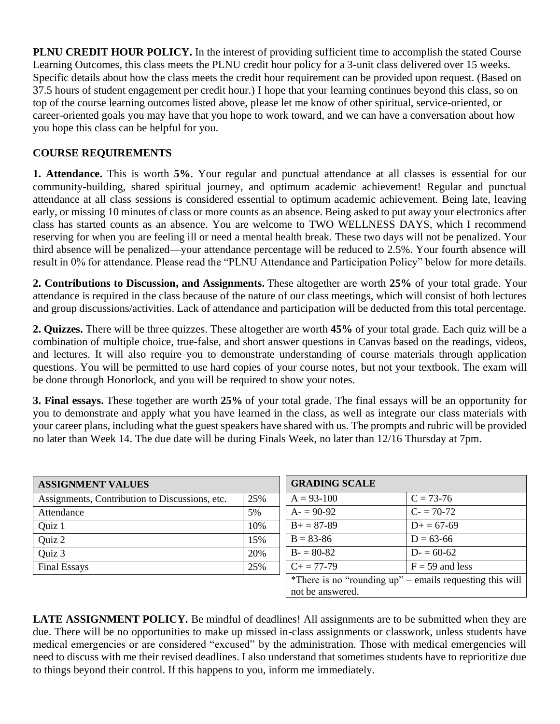**PLNU CREDIT HOUR POLICY.** In the interest of providing sufficient time to accomplish the stated Course Learning Outcomes, this class meets the PLNU credit hour policy for a 3-unit class delivered over 15 weeks. Specific details about how the class meets the credit hour requirement can be provided upon request. (Based on 37.5 hours of student engagement per credit hour.) I hope that your learning continues beyond this class, so on top of the course learning outcomes listed above, please let me know of other spiritual, service-oriented, or career-oriented goals you may have that you hope to work toward, and we can have a conversation about how you hope this class can be helpful for you.

## **COURSE REQUIREMENTS**

**1. Attendance.** This is worth **5%**. Your regular and punctual attendance at all classes is essential for our community-building, shared spiritual journey, and optimum academic achievement! Regular and punctual attendance at all class sessions is considered essential to optimum academic achievement. Being late, leaving early, or missing 10 minutes of class or more counts as an absence. Being asked to put away your electronics after class has started counts as an absence. You are welcome to TWO WELLNESS DAYS, which I recommend reserving for when you are feeling ill or need a mental health break. These two days will not be penalized. Your third absence will be penalized—your attendance percentage will be reduced to 2.5%. Your fourth absence will result in 0% for attendance. Please read the "PLNU Attendance and Participation Policy" below for more details.

**2. Contributions to Discussion, and Assignments.** These altogether are worth **25%** of your total grade. Your attendance is required in the class because of the nature of our class meetings, which will consist of both lectures and group discussions/activities. Lack of attendance and participation will be deducted from this total percentage.

**2. Quizzes.** There will be three quizzes. These altogether are worth **45%** of your total grade. Each quiz will be a combination of multiple choice, true-false, and short answer questions in Canvas based on the readings, videos, and lectures. It will also require you to demonstrate understanding of course materials through application questions. You will be permitted to use hard copies of your course notes, but not your textbook. The exam will be done through Honorlock, and you will be required to show your notes.

**3. Final essays.** These together are worth **25%** of your total grade. The final essays will be an opportunity for you to demonstrate and apply what you have learned in the class, as well as integrate our class materials with your career plans, including what the guest speakers have shared with us. The prompts and rubric will be provided no later than Week 14. The due date will be during Finals Week, no later than 12/16 Thursday at 7pm.

| <b>ASSIGNMENT VALUES</b>                       |     |
|------------------------------------------------|-----|
| Assignments, Contribution to Discussions, etc. | 25% |
| Attendance                                     | 5%  |
| Quiz 1                                         | 10% |
| Quiz 2                                         | 15% |
| Quiz 3                                         | 20% |
| <b>Final Essays</b>                            | 25% |

| <b>GRADING SCALE</b>                                     |                   |  |
|----------------------------------------------------------|-------------------|--|
| $A = 93 - 100$                                           | $C = 73-76$       |  |
| $A = 90-92$                                              | $C = 70-72$       |  |
| $B+=87-89$                                               | $D+ = 67-69$      |  |
| $B = 83 - 86$                                            | $D = 63-66$       |  |
| $B = 80-82$                                              | $D = 60-62$       |  |
| $C_{\pm} = 77 - 79$                                      | $F = 59$ and less |  |
| *There is no "rounding up" – emails requesting this will |                   |  |
| not be answered.                                         |                   |  |

**LATE ASSIGNMENT POLICY.** Be mindful of deadlines! All assignments are to be submitted when they are due. There will be no opportunities to make up missed in-class assignments or classwork, unless students have medical emergencies or are considered "excused" by the administration. Those with medical emergencies will need to discuss with me their revised deadlines. I also understand that sometimes students have to reprioritize due to things beyond their control. If this happens to you, inform me immediately.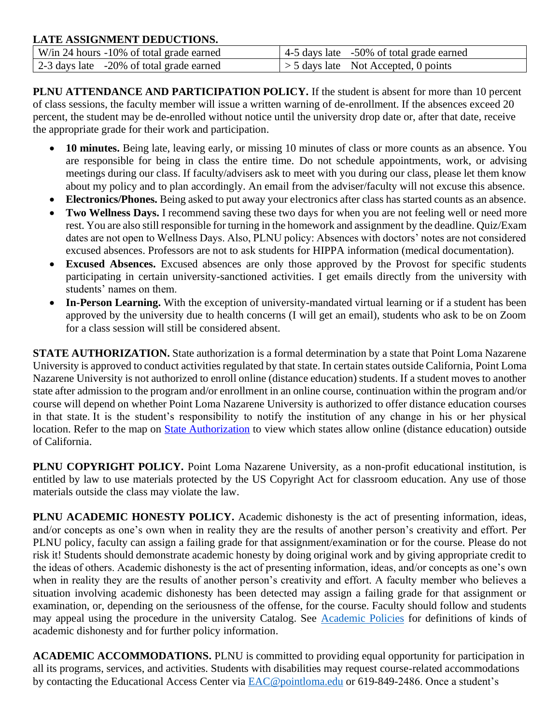### **LATE ASSIGNMENT DEDUCTIONS.**

| W/in 24 hours -10% of total grade earned | 4-5 days late -50% of total grade earned     |
|------------------------------------------|----------------------------------------------|
| 2-3 days late -20% of total grade earned | $\vert > 5$ days late Not Accepted, 0 points |

**PLNU ATTENDANCE AND PARTICIPATION POLICY.** If the student is absent for more than 10 percent of class sessions, the faculty member will issue a written warning of de-enrollment. If the absences exceed 20 percent, the student may be de-enrolled without notice until the university drop date or, after that date, receive the appropriate grade for their work and participation.

- 10 minutes. Being late, leaving early, or missing 10 minutes of class or more counts as an absence. You are responsible for being in class the entire time. Do not schedule appointments, work, or advising meetings during our class. If faculty/advisers ask to meet with you during our class, please let them know about my policy and to plan accordingly. An email from the adviser/faculty will not excuse this absence.
- **Electronics/Phones.** Being asked to put away your electronics after class has started counts as an absence.
- **Two Wellness Days.** I recommend saving these two days for when you are not feeling well or need more rest. You are also still responsible for turning in the homework and assignment by the deadline. Quiz/Exam dates are not open to Wellness Days. Also, PLNU policy: Absences with doctors' notes are not considered excused absences. Professors are not to ask students for HIPPA information (medical documentation).
- **Excused Absences.** Excused absences are only those approved by the Provost for specific students participating in certain university-sanctioned activities. I get emails directly from the university with students' names on them.
- **In-Person Learning.** With the exception of university-mandated virtual learning or if a student has been approved by the university due to health concerns (I will get an email), students who ask to be on Zoom for a class session will still be considered absent.

**STATE AUTHORIZATION.** State authorization is a formal determination by a state that Point Loma Nazarene University is approved to conduct activities regulated by that state. In certain states outside California, Point Loma Nazarene University is not authorized to enroll online (distance education) students. If a student moves to another state after admission to the program and/or enrollment in an online course, continuation within the program and/or course will depend on whether Point Loma Nazarene University is authorized to offer distance education courses in that state. It is the student's responsibility to notify the institution of any change in his or her physical location. Refer to the map on [State Authorization](https://www.pointloma.edu/offices/office-institutional-effectiveness-research/disclosures) to view which states allow online (distance education) outside of California.

**PLNU COPYRIGHT POLICY.** Point Loma Nazarene University, as a non-profit educational institution, is entitled by law to use materials protected by the US Copyright Act for classroom education. Any use of those materials outside the class may violate the law.

**PLNU ACADEMIC HONESTY POLICY.** Academic dishonesty is the act of presenting information, ideas, and/or concepts as one's own when in reality they are the results of another person's creativity and effort. Per PLNU policy, faculty can assign a failing grade for that assignment/examination or for the course. Please do not risk it! Students should demonstrate academic honesty by doing original work and by giving appropriate credit to the ideas of others. Academic dishonesty is the act of presenting information, ideas, and/or concepts as one's own when in reality they are the results of another person's creativity and effort. A faculty member who believes a situation involving academic dishonesty has been detected may assign a failing grade for that assignment or examination, or, depending on the seriousness of the offense, for the course. Faculty should follow and students may appeal using the procedure in the university Catalog. See [Academic Policies](https://catalog.pointloma.edu/content.php?catoid=52&navoid=2919#Academic_Honesty) for definitions of kinds of academic dishonesty and for further policy information.

**ACADEMIC ACCOMMODATIONS.** PLNU is committed to providing equal opportunity for participation in all its programs, services, and activities. Students with disabilities may request course-related accommodations by contacting the Educational Access Center via [EAC@pointloma.edu](mailto:EAC@pointloma.edu) or 619-849-2486. Once a student's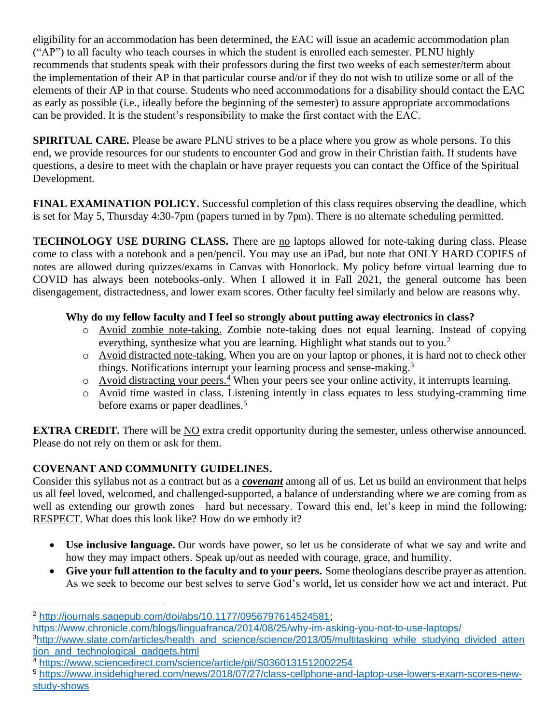eligibility for an accommodation has been determined, the EAC will issue an academic accommodation plan ("AP") to all faculty who teach courses in which the student is enrolled each semester. PLNU highly recommends that students speak with their professors during the first two weeks of each semester/term about the implementation of their AP in that particular course and/or if they do not wish to utilize some or all of the elements of their AP in that course. Students who need accommodations for a disability should contact the EAC as early as possible (i.e., ideally before the beginning of the semester) to assure appropriate accommodations can be provided. It is the student's responsibility to make the first contact with the EAC.

**SPIRITUAL CARE.** Please be aware PLNU strives to be a place where you grow as whole persons. To this end, we provide resources for our students to encounter God and grow in their Christian faith. If students have questions, a desire to meet with the chaplain or have prayer requests you can contact the Office of the Spiritual Development.

**FINAL EXAMINATION POLICY.** Successful completion of this class requires observing the deadline, which is set for May 5, Thursday 4:30-7pm (papers turned in by 7pm). There is no alternate scheduling permitted.

**TECHNOLOGY USE DURING CLASS.** There are no laptops allowed for note-taking during class. Please come to class with a notebook and a pen/pencil. You may use an iPad, but note that ONLY HARD COPIES of notes are allowed during quizzes/exams in Canvas with Honorlock. My policy before virtual learning due to COVID has always been notebooks-only. When I allowed it in Fall 2021, the general outcome has been disengagement, distractedness, and lower exam scores. Other faculty feel similarly and below are reasons why.

# **Why do my fellow faculty and I feel so strongly about putting away electronics in class?**

- o Avoid zombie note-taking. Zombie note-taking does not equal learning. Instead of copying everything, synthesize what you are learning. Highlight what stands out to you.<sup>2</sup>
- o Avoid distracted note-taking. When you are on your laptop or phones, it is hard not to check other things. Notifications interrupt your learning process and sense-making.<sup>3</sup>
- $\circ$  Avoid distracting your peers.<sup>4</sup> When your peers see your online activity, it interrupts learning.
- o Avoid time wasted in class. Listening intently in class equates to less studying-cramming time before exams or paper deadlines.<sup>5</sup>

**EXTRA CREDIT.** There will be NO extra credit opportunity during the semester, unless otherwise announced. Please do not rely on them or ask for them.

# **COVENANT AND COMMUNITY GUIDELINES.**

Consider this syllabus not as a contract but as a *covenant* among all of us. Let us build an environment that helps us all feel loved, welcomed, and challenged-supported, a balance of understanding where we are coming from as well as extending our growth zones—hard but necessary. Toward this end, let's keep in mind the following: RESPECT. What does this look like? How do we embody it?

- **Use inclusive language.** Our words have power, so let us be considerate of what we say and write and how they may impact others. Speak up/out as needed with courage, grace, and humility.
- **Give your full attention to the faculty and to your peers.** Some theologians describe prayer as attention. As we seek to become our best selves to serve God's world, let us consider how we act and interact. Put

<https://www.chronicle.com/blogs/linguafranca/2014/08/25/why-im-asking-you-not-to-use-laptops/>

<sup>2</sup> [http://journals.sagepub.com/doi/abs/10.1177/0956797614524581;](http://journals.sagepub.com/doi/abs/10.1177/0956797614524581)

<sup>&</sup>lt;sup>3</sup>[http://www.slate.com/articles/health\\_and\\_science/science/2013/05/multitasking\\_while\\_studying\\_divided\\_atten](http://www.slate.com/articles/health_and_science/science/2013/05/multitasking_while_studying_divided_attention_and_technological_gadgets.html) tion and technological gadgets.html

<sup>4</sup> <https://www.sciencedirect.com/science/article/pii/S0360131512002254>

<sup>5</sup> [https://www.insidehighered.com/news/2018/07/27/class-cellphone-and-laptop-use-lowers-exam-scores-new](https://www.insidehighered.com/news/2018/07/27/class-cellphone-and-laptop-use-lowers-exam-scores-new-study-shows)[study-shows](https://www.insidehighered.com/news/2018/07/27/class-cellphone-and-laptop-use-lowers-exam-scores-new-study-shows)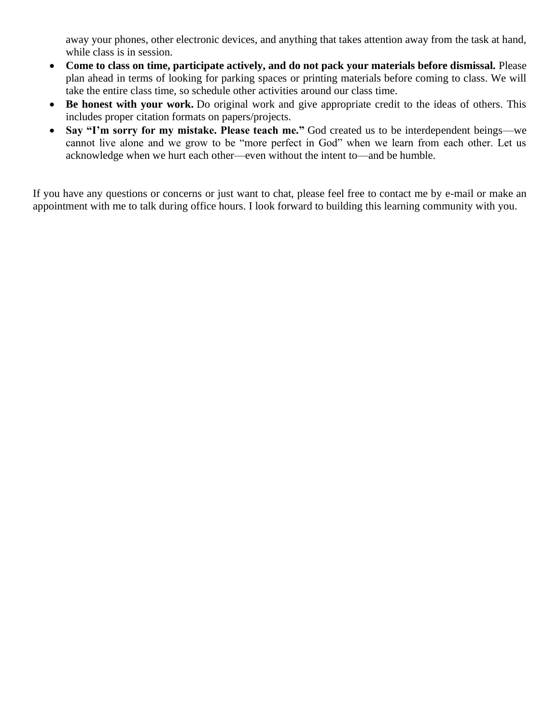away your phones, other electronic devices, and anything that takes attention away from the task at hand, while class is in session.

- **Come to class on time, participate actively, and do not pack your materials before dismissal.** Please plan ahead in terms of looking for parking spaces or printing materials before coming to class. We will take the entire class time, so schedule other activities around our class time.
- **Be honest with your work.** Do original work and give appropriate credit to the ideas of others. This includes proper citation formats on papers/projects.
- **Say "I'm sorry for my mistake. Please teach me."** God created us to be interdependent beings—we cannot live alone and we grow to be "more perfect in God" when we learn from each other. Let us acknowledge when we hurt each other—even without the intent to—and be humble.

If you have any questions or concerns or just want to chat, please feel free to contact me by e-mail or make an appointment with me to talk during office hours. I look forward to building this learning community with you.